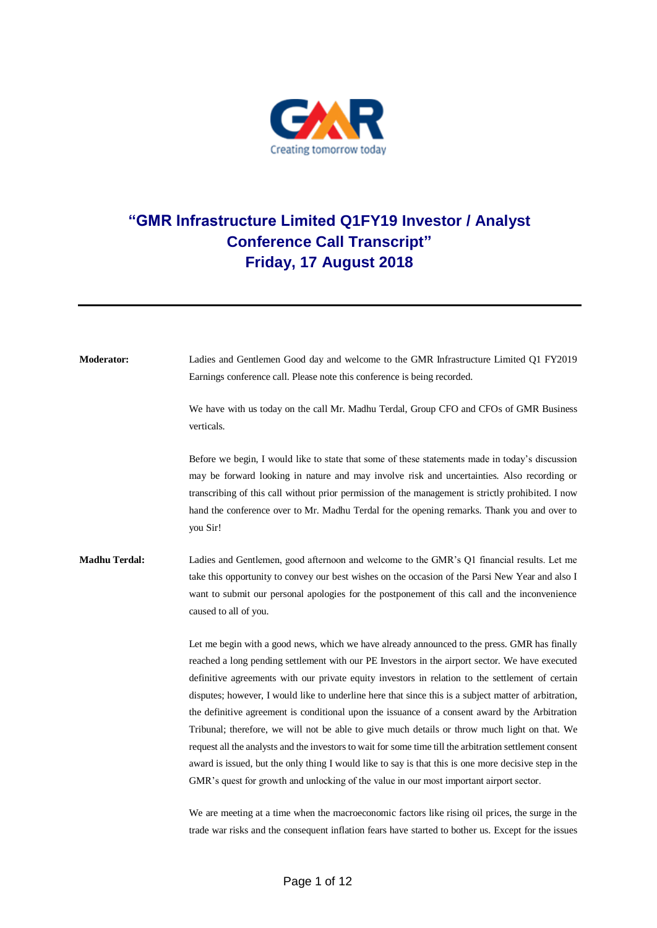

## **"GMR Infrastructure Limited Q1FY19 Investor / Analyst Conference Call Transcript" Friday, 17 August 2018**

**Moderator:** Ladies and Gentlemen Good day and welcome to the GMR Infrastructure Limited Q1 FY2019 Earnings conference call. Please note this conference is being recorded. We have with us today on the call Mr. Madhu Terdal, Group CFO and CFOs of GMR Business verticals. Before we begin, I would like to state that some of these statements made in today's discussion may be forward looking in nature and may involve risk and uncertainties. Also recording or transcribing of this call without prior permission of the management is strictly prohibited. I now hand the conference over to Mr. Madhu Terdal for the opening remarks. Thank you and over to you Sir! **Madhu Terdal:** Ladies and Gentlemen, good afternoon and welcome to the GMR's Q1 financial results. Let me take this opportunity to convey our best wishes on the occasion of the Parsi New Year and also I want to submit our personal apologies for the postponement of this call and the inconvenience caused to all of you. Let me begin with a good news, which we have already announced to the press. GMR has finally reached a long pending settlement with our PE Investors in the airport sector. We have executed definitive agreements with our private equity investors in relation to the settlement of certain disputes; however, I would like to underline here that since this is a subject matter of arbitration, the definitive agreement is conditional upon the issuance of a consent award by the Arbitration Tribunal; therefore, we will not be able to give much details or throw much light on that. We request all the analysts and the investors to wait for some time till the arbitration settlement consent award is issued, but the only thing I would like to say is that this is one more decisive step in the GMR's quest for growth and unlocking of the value in our most important airport sector. We are meeting at a time when the macroeconomic factors like rising oil prices, the surge in the

trade war risks and the consequent inflation fears have started to bother us. Except for the issues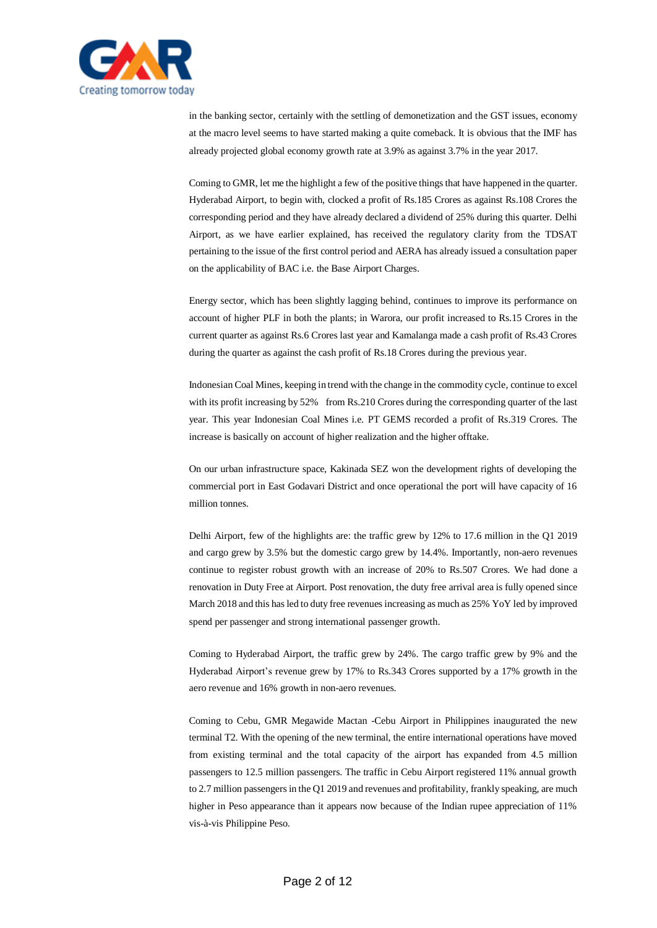

in the banking sector, certainly with the settling of demonetization and the GST issues, economy at the macro level seems to have started making a quite comeback. It is obvious that the IMF has already projected global economy growth rate at 3.9% as against 3.7% in the year 2017.

Coming to GMR, let me the highlight a few of the positive things that have happened in the quarter. Hyderabad Airport, to begin with, clocked a profit of Rs.185 Crores as against Rs.108 Crores the corresponding period and they have already declared a dividend of 25% during this quarter. Delhi Airport, as we have earlier explained, has received the regulatory clarity from the TDSAT pertaining to the issue of the first control period and AERA has already issued a consultation paper on the applicability of BAC i.e. the Base Airport Charges.

Energy sector, which has been slightly lagging behind, continues to improve its performance on account of higher PLF in both the plants; in Warora, our profit increased to Rs.15 Crores in the current quarter as against Rs.6 Crores last year and Kamalanga made a cash profit of Rs.43 Crores during the quarter as against the cash profit of Rs.18 Crores during the previous year.

Indonesian Coal Mines, keeping in trend with the change in the commodity cycle, continue to excel with its profit increasing by 52% from Rs.210 Crores during the corresponding quarter of the last year. This year Indonesian Coal Mines i.e. PT GEMS recorded a profit of Rs.319 Crores. The increase is basically on account of higher realization and the higher offtake.

On our urban infrastructure space, Kakinada SEZ won the development rights of developing the commercial port in East Godavari District and once operational the port will have capacity of 16 million tonnes.

Delhi Airport, few of the highlights are: the traffic grew by 12% to 17.6 million in the Q1 2019 and cargo grew by 3.5% but the domestic cargo grew by 14.4%. Importantly, non-aero revenues continue to register robust growth with an increase of 20% to Rs.507 Crores. We had done a renovation in Duty Free at Airport. Post renovation, the duty free arrival area is fully opened since March 2018 and this has led to duty free revenues increasing as much as 25% YoY led by improved spend per passenger and strong international passenger growth.

Coming to Hyderabad Airport, the traffic grew by 24%. The cargo traffic grew by 9% and the Hyderabad Airport's revenue grew by 17% to Rs.343 Crores supported by a 17% growth in the aero revenue and 16% growth in non-aero revenues.

Coming to Cebu, GMR Megawide Mactan -Cebu Airport in Philippines inaugurated the new terminal T2. With the opening of the new terminal, the entire international operations have moved from existing terminal and the total capacity of the airport has expanded from 4.5 million passengers to 12.5 million passengers. The traffic in Cebu Airport registered 11% annual growth to 2.7 million passengers in the Q1 2019 and revenues and profitability, frankly speaking, are much higher in Peso appearance than it appears now because of the Indian rupee appreciation of 11% vis-à-vis Philippine Peso.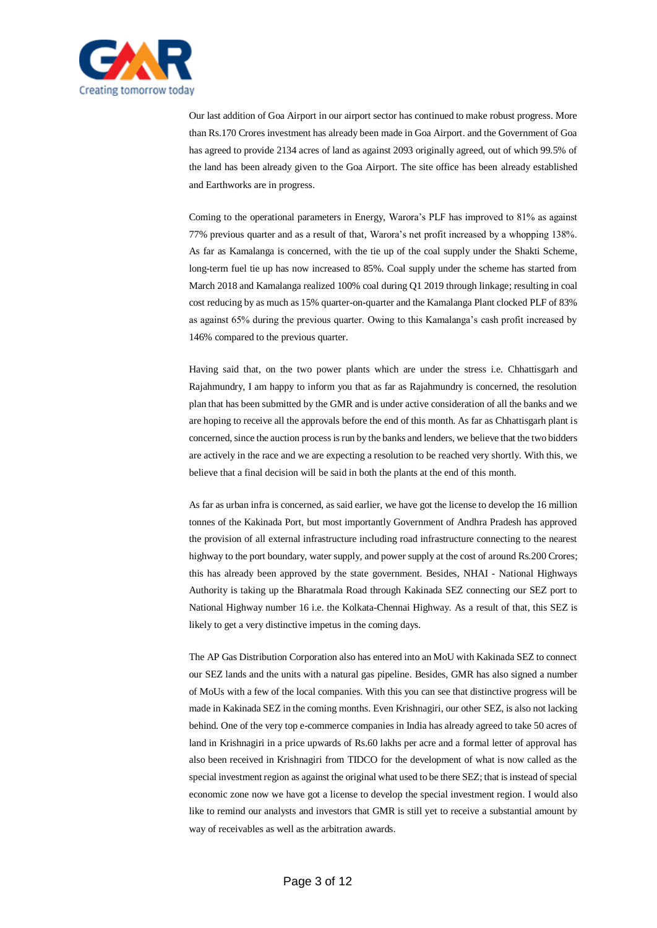

Our last addition of Goa Airport in our airport sector has continued to make robust progress. More than Rs.170 Crores investment has already been made in Goa Airport. and the Government of Goa has agreed to provide 2134 acres of land as against 2093 originally agreed, out of which 99.5% of the land has been already given to the Goa Airport. The site office has been already established and Earthworks are in progress.

Coming to the operational parameters in Energy, Warora's PLF has improved to 81% as against 77% previous quarter and as a result of that, Warora's net profit increased by a whopping 138%. As far as Kamalanga is concerned, with the tie up of the coal supply under the Shakti Scheme, long-term fuel tie up has now increased to 85%. Coal supply under the scheme has started from March 2018 and Kamalanga realized 100% coal during Q1 2019 through linkage; resulting in coal cost reducing by as much as 15% quarter-on-quarter and the Kamalanga Plant clocked PLF of 83% as against 65% during the previous quarter. Owing to this Kamalanga's cash profit increased by 146% compared to the previous quarter.

Having said that, on the two power plants which are under the stress i.e. Chhattisgarh and Rajahmundry, I am happy to inform you that as far as Rajahmundry is concerned, the resolution plan that has been submitted by the GMR and is under active consideration of all the banks and we are hoping to receive all the approvals before the end of this month. As far as Chhattisgarh plant is concerned, since the auction process is run by the banks and lenders, we believe that the two bidders are actively in the race and we are expecting a resolution to be reached very shortly. With this, we believe that a final decision will be said in both the plants at the end of this month.

As far as urban infra is concerned, as said earlier, we have got the license to develop the 16 million tonnes of the Kakinada Port, but most importantly Government of Andhra Pradesh has approved the provision of all external infrastructure including road infrastructure connecting to the nearest highway to the port boundary, water supply, and power supply at the cost of around Rs.200 Crores; this has already been approved by the state government. Besides, NHAI - National Highways Authority is taking up the Bharatmala Road through Kakinada SEZ connecting our SEZ port to National Highway number 16 i.e. the Kolkata-Chennai Highway. As a result of that, this SEZ is likely to get a very distinctive impetus in the coming days.

The AP Gas Distribution Corporation also has entered into an MoU with Kakinada SEZ to connect our SEZ lands and the units with a natural gas pipeline. Besides, GMR has also signed a number of MoUs with a few of the local companies. With this you can see that distinctive progress will be made in Kakinada SEZ in the coming months. Even Krishnagiri, our other SEZ, is also not lacking behind. One of the very top e-commerce companies in India has already agreed to take 50 acres of land in Krishnagiri in a price upwards of Rs.60 lakhs per acre and a formal letter of approval has also been received in Krishnagiri from TIDCO for the development of what is now called as the special investment region as against the original what used to be there SEZ; that is instead of special economic zone now we have got a license to develop the special investment region. I would also like to remind our analysts and investors that GMR is still yet to receive a substantial amount by way of receivables as well as the arbitration awards.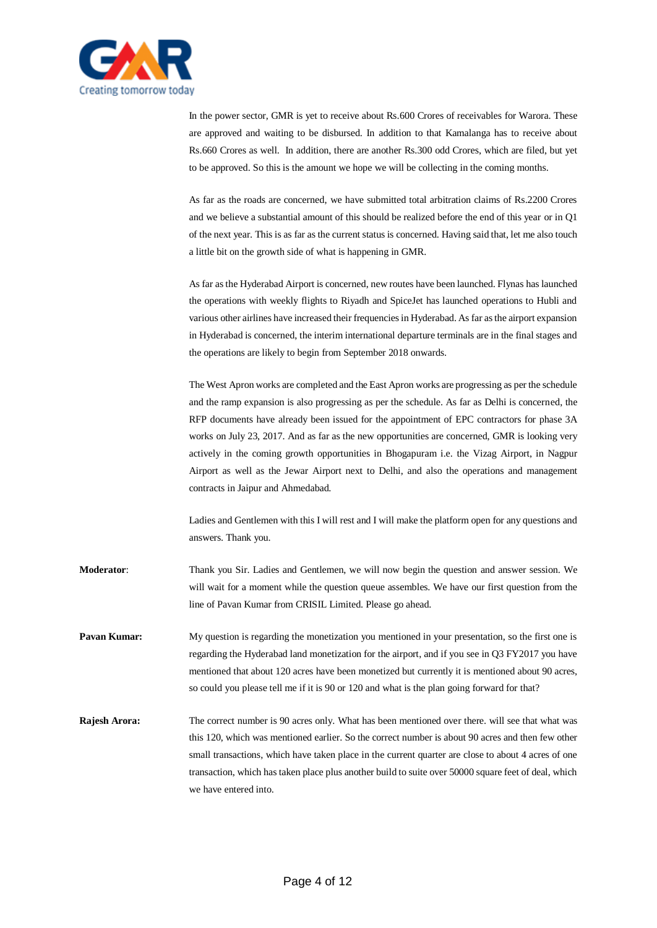

In the power sector, GMR is yet to receive about Rs.600 Crores of receivables for Warora. These are approved and waiting to be disbursed. In addition to that Kamalanga has to receive about Rs.660 Crores as well. In addition, there are another Rs.300 odd Crores, which are filed, but yet to be approved. So this is the amount we hope we will be collecting in the coming months.

As far as the roads are concerned, we have submitted total arbitration claims of Rs.2200 Crores and we believe a substantial amount of this should be realized before the end of this year or in Q1 of the next year. This is as far as the current status is concerned. Having said that, let me also touch a little bit on the growth side of what is happening in GMR.

As far as the Hyderabad Airport is concerned, new routes have been launched. Flynas has launched the operations with weekly flights to Riyadh and SpiceJet has launched operations to Hubli and various other airlines have increased their frequencies in Hyderabad. As far as the airport expansion in Hyderabad is concerned, the interim international departure terminals are in the final stages and the operations are likely to begin from September 2018 onwards.

The West Apron works are completed and the East Apron works are progressing as per the schedule and the ramp expansion is also progressing as per the schedule. As far as Delhi is concerned, the RFP documents have already been issued for the appointment of EPC contractors for phase 3A works on July 23, 2017. And as far as the new opportunities are concerned, GMR is looking very actively in the coming growth opportunities in Bhogapuram i.e. the Vizag Airport, in Nagpur Airport as well as the Jewar Airport next to Delhi, and also the operations and management contracts in Jaipur and Ahmedabad.

Ladies and Gentlemen with this I will rest and I will make the platform open for any questions and answers. Thank you.

- **Moderator**: Thank you Sir. Ladies and Gentlemen, we will now begin the question and answer session. We will wait for a moment while the question queue assembles. We have our first question from the line of Pavan Kumar from CRISIL Limited. Please go ahead.
- **Pavan Kumar:** My question is regarding the monetization you mentioned in your presentation, so the first one is regarding the Hyderabad land monetization for the airport, and if you see in Q3 FY2017 you have mentioned that about 120 acres have been monetized but currently it is mentioned about 90 acres, so could you please tell me if it is 90 or 120 and what is the plan going forward for that?
- **Rajesh Arora:** The correct number is 90 acres only. What has been mentioned over there. will see that what was this 120, which was mentioned earlier. So the correct number is about 90 acres and then few other small transactions, which have taken place in the current quarter are close to about 4 acres of one transaction, which has taken place plus another build to suite over 50000 square feet of deal, which we have entered into.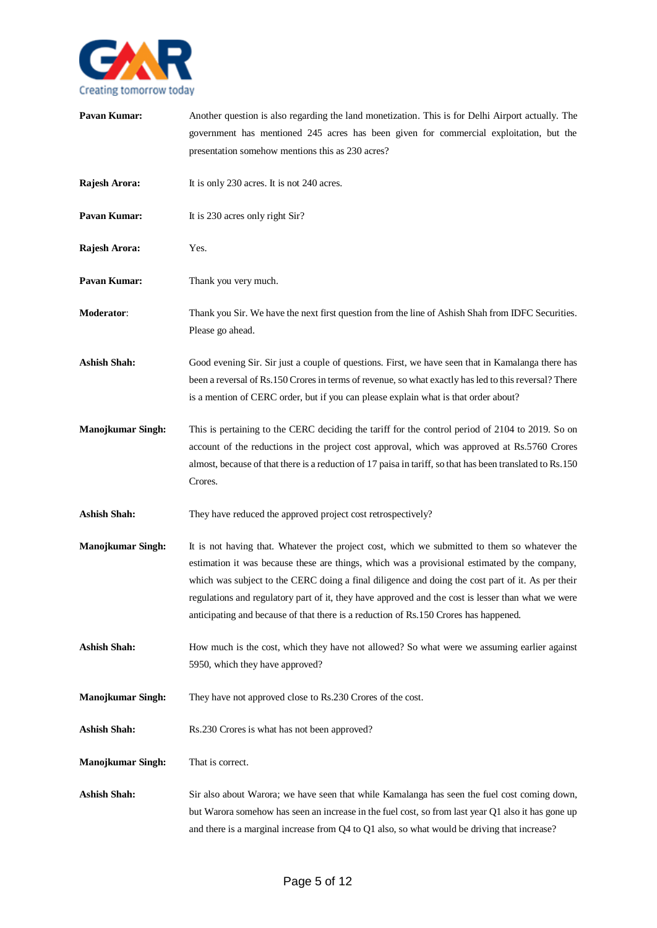

| Pavan Kumar:             | Another question is also regarding the land monetization. This is for Delhi Airport actually. The<br>government has mentioned 245 acres has been given for commercial exploitation, but the<br>presentation somehow mentions this as 230 acres?                                                                                                                                                                                                                                                  |
|--------------------------|--------------------------------------------------------------------------------------------------------------------------------------------------------------------------------------------------------------------------------------------------------------------------------------------------------------------------------------------------------------------------------------------------------------------------------------------------------------------------------------------------|
| Rajesh Arora:            | It is only 230 acres. It is not 240 acres.                                                                                                                                                                                                                                                                                                                                                                                                                                                       |
| Pavan Kumar:             | It is 230 acres only right Sir?                                                                                                                                                                                                                                                                                                                                                                                                                                                                  |
| Rajesh Arora:            | Yes.                                                                                                                                                                                                                                                                                                                                                                                                                                                                                             |
| Pavan Kumar:             | Thank you very much.                                                                                                                                                                                                                                                                                                                                                                                                                                                                             |
| Moderator:               | Thank you Sir. We have the next first question from the line of Ashish Shah from IDFC Securities.<br>Please go ahead.                                                                                                                                                                                                                                                                                                                                                                            |
| <b>Ashish Shah:</b>      | Good evening Sir. Sir just a couple of questions. First, we have seen that in Kamalanga there has<br>been a reversal of Rs.150 Crores in terms of revenue, so what exactly has led to this reversal? There<br>is a mention of CERC order, but if you can please explain what is that order about?                                                                                                                                                                                                |
| Manojkumar Singh:        | This is pertaining to the CERC deciding the tariff for the control period of 2104 to 2019. So on<br>account of the reductions in the project cost approval, which was approved at Rs.5760 Crores<br>almost, because of that there is a reduction of 17 paisa in tariff, so that has been translated to Rs.150<br>Crores.                                                                                                                                                                         |
| <b>Ashish Shah:</b>      | They have reduced the approved project cost retrospectively?                                                                                                                                                                                                                                                                                                                                                                                                                                     |
| <b>Manojkumar Singh:</b> | It is not having that. Whatever the project cost, which we submitted to them so whatever the<br>estimation it was because these are things, which was a provisional estimated by the company,<br>which was subject to the CERC doing a final diligence and doing the cost part of it. As per their<br>regulations and regulatory part of it, they have approved and the cost is lesser than what we were<br>anticipating and because of that there is a reduction of Rs.150 Crores has happened. |
| <b>Ashish Shah:</b>      | How much is the cost, which they have not allowed? So what were we assuming earlier against<br>5950, which they have approved?                                                                                                                                                                                                                                                                                                                                                                   |
| <b>Manojkumar Singh:</b> | They have not approved close to Rs.230 Crores of the cost.                                                                                                                                                                                                                                                                                                                                                                                                                                       |
| <b>Ashish Shah:</b>      | Rs.230 Crores is what has not been approved?                                                                                                                                                                                                                                                                                                                                                                                                                                                     |
| <b>Manojkumar Singh:</b> | That is correct.                                                                                                                                                                                                                                                                                                                                                                                                                                                                                 |
| <b>Ashish Shah:</b>      | Sir also about Warora; we have seen that while Kamalanga has seen the fuel cost coming down,<br>but Warora somehow has seen an increase in the fuel cost, so from last year Q1 also it has gone up<br>and there is a marginal increase from Q4 to Q1 also, so what would be driving that increase?                                                                                                                                                                                               |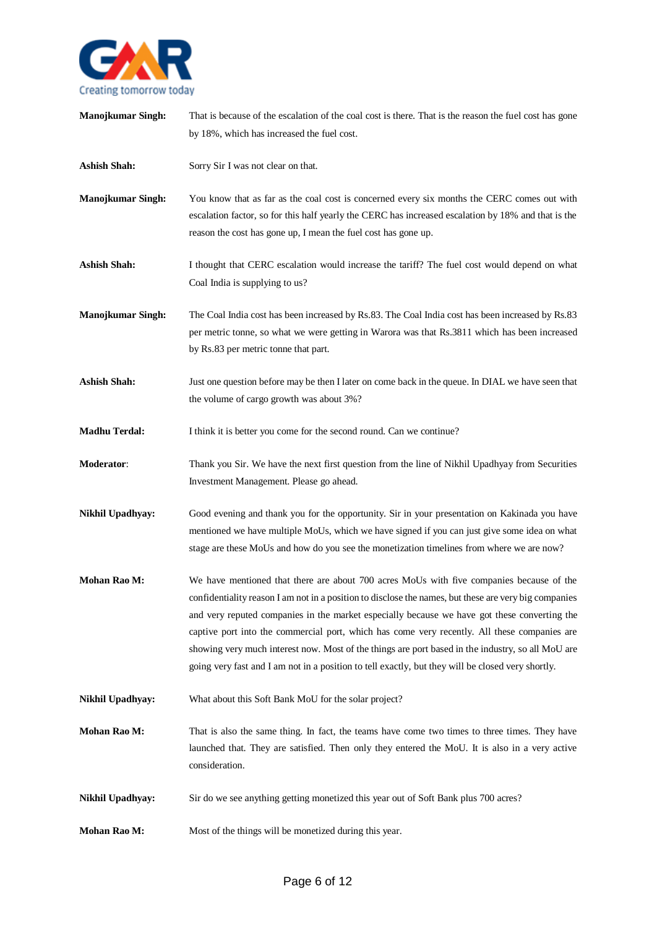

| Manojkumar Singh:        | That is because of the escalation of the coal cost is there. That is the reason the fuel cost has gone<br>by 18%, which has increased the fuel cost.                                                                                                                                                                                                                                                                                                                                                                                                                                                        |
|--------------------------|-------------------------------------------------------------------------------------------------------------------------------------------------------------------------------------------------------------------------------------------------------------------------------------------------------------------------------------------------------------------------------------------------------------------------------------------------------------------------------------------------------------------------------------------------------------------------------------------------------------|
| <b>Ashish Shah:</b>      | Sorry Sir I was not clear on that.                                                                                                                                                                                                                                                                                                                                                                                                                                                                                                                                                                          |
| <b>Manojkumar Singh:</b> | You know that as far as the coal cost is concerned every six months the CERC comes out with<br>escalation factor, so for this half yearly the CERC has increased escalation by 18% and that is the<br>reason the cost has gone up, I mean the fuel cost has gone up.                                                                                                                                                                                                                                                                                                                                        |
| <b>Ashish Shah:</b>      | I thought that CERC escalation would increase the tariff? The fuel cost would depend on what<br>Coal India is supplying to us?                                                                                                                                                                                                                                                                                                                                                                                                                                                                              |
| <b>Manojkumar Singh:</b> | The Coal India cost has been increased by Rs.83. The Coal India cost has been increased by Rs.83<br>per metric tonne, so what we were getting in Warora was that Rs.3811 which has been increased<br>by Rs.83 per metric tonne that part.                                                                                                                                                                                                                                                                                                                                                                   |
| <b>Ashish Shah:</b>      | Just one question before may be then I later on come back in the queue. In DIAL we have seen that<br>the volume of cargo growth was about 3%?                                                                                                                                                                                                                                                                                                                                                                                                                                                               |
| <b>Madhu Terdal:</b>     | I think it is better you come for the second round. Can we continue?                                                                                                                                                                                                                                                                                                                                                                                                                                                                                                                                        |
| Moderator:               | Thank you Sir. We have the next first question from the line of Nikhil Upadhyay from Securities<br>Investment Management. Please go ahead.                                                                                                                                                                                                                                                                                                                                                                                                                                                                  |
| Nikhil Upadhyay:         | Good evening and thank you for the opportunity. Sir in your presentation on Kakinada you have<br>mentioned we have multiple MoUs, which we have signed if you can just give some idea on what<br>stage are these MoUs and how do you see the monetization timelines from where we are now?                                                                                                                                                                                                                                                                                                                  |
| <b>Mohan Rao M:</b>      | We have mentioned that there are about 700 acres MoUs with five companies because of the<br>confidentiality reason I am not in a position to disclose the names, but these are very big companies<br>and very reputed companies in the market especially because we have got these converting the<br>captive port into the commercial port, which has come very recently. All these companies are<br>showing very much interest now. Most of the things are port based in the industry, so all MoU are<br>going very fast and I am not in a position to tell exactly, but they will be closed very shortly. |
| Nikhil Upadhyay:         | What about this Soft Bank MoU for the solar project?                                                                                                                                                                                                                                                                                                                                                                                                                                                                                                                                                        |
| Mohan Rao M:             | That is also the same thing. In fact, the teams have come two times to three times. They have<br>launched that. They are satisfied. Then only they entered the MoU. It is also in a very active<br>consideration.                                                                                                                                                                                                                                                                                                                                                                                           |
| <b>Nikhil Upadhyay:</b>  | Sir do we see anything getting monetized this year out of Soft Bank plus 700 acres?                                                                                                                                                                                                                                                                                                                                                                                                                                                                                                                         |
| Mohan Rao M:             | Most of the things will be monetized during this year.                                                                                                                                                                                                                                                                                                                                                                                                                                                                                                                                                      |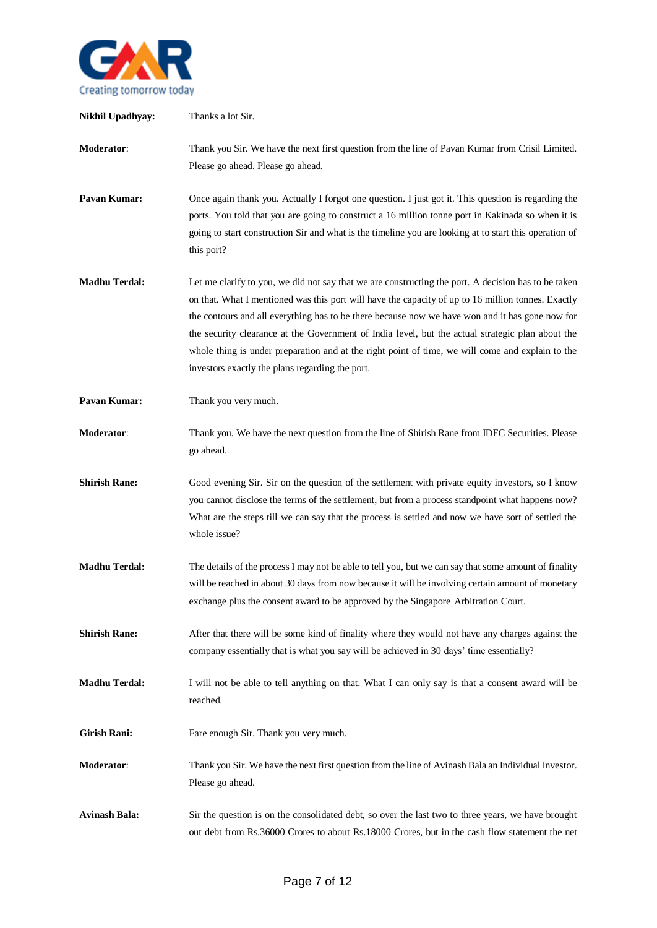

| Nikhil Upadhyay:     | Thanks a lot Sir.                                                                                                                                                                                                                                                                                                                                                                                                                                                                                                                                                       |
|----------------------|-------------------------------------------------------------------------------------------------------------------------------------------------------------------------------------------------------------------------------------------------------------------------------------------------------------------------------------------------------------------------------------------------------------------------------------------------------------------------------------------------------------------------------------------------------------------------|
| <b>Moderator:</b>    | Thank you Sir. We have the next first question from the line of Pavan Kumar from Crisil Limited.<br>Please go ahead. Please go ahead.                                                                                                                                                                                                                                                                                                                                                                                                                                   |
| Pavan Kumar:         | Once again thank you. Actually I forgot one question. I just got it. This question is regarding the<br>ports. You told that you are going to construct a 16 million tonne port in Kakinada so when it is<br>going to start construction Sir and what is the timeline you are looking at to start this operation of<br>this port?                                                                                                                                                                                                                                        |
| <b>Madhu Terdal:</b> | Let me clarify to you, we did not say that we are constructing the port. A decision has to be taken<br>on that. What I mentioned was this port will have the capacity of up to 16 million tonnes. Exactly<br>the contours and all everything has to be there because now we have won and it has gone now for<br>the security clearance at the Government of India level, but the actual strategic plan about the<br>whole thing is under preparation and at the right point of time, we will come and explain to the<br>investors exactly the plans regarding the port. |
| Pavan Kumar:         | Thank you very much.                                                                                                                                                                                                                                                                                                                                                                                                                                                                                                                                                    |
| Moderator:           | Thank you. We have the next question from the line of Shirish Rane from IDFC Securities. Please<br>go ahead.                                                                                                                                                                                                                                                                                                                                                                                                                                                            |
| <b>Shirish Rane:</b> | Good evening Sir. Sir on the question of the settlement with private equity investors, so I know<br>you cannot disclose the terms of the settlement, but from a process standpoint what happens now?<br>What are the steps till we can say that the process is settled and now we have sort of settled the<br>whole issue?                                                                                                                                                                                                                                              |
| <b>Madhu Terdal:</b> | The details of the process I may not be able to tell you, but we can say that some amount of finality<br>will be reached in about 30 days from now because it will be involving certain amount of monetary<br>exchange plus the consent award to be approved by the Singapore Arbitration Court.                                                                                                                                                                                                                                                                        |
| <b>Shirish Rane:</b> | After that there will be some kind of finality where they would not have any charges against the<br>company essentially that is what you say will be achieved in 30 days' time essentially?                                                                                                                                                                                                                                                                                                                                                                             |
| <b>Madhu Terdal:</b> | I will not be able to tell anything on that. What I can only say is that a consent award will be<br>reached.                                                                                                                                                                                                                                                                                                                                                                                                                                                            |
| <b>Girish Rani:</b>  | Fare enough Sir. Thank you very much.                                                                                                                                                                                                                                                                                                                                                                                                                                                                                                                                   |
| <b>Moderator:</b>    | Thank you Sir. We have the next first question from the line of Avinash Bala an Individual Investor.<br>Please go ahead.                                                                                                                                                                                                                                                                                                                                                                                                                                                |
| <b>Avinash Bala:</b> | Sir the question is on the consolidated debt, so over the last two to three years, we have brought<br>out debt from Rs.36000 Crores to about Rs.18000 Crores, but in the cash flow statement the net                                                                                                                                                                                                                                                                                                                                                                    |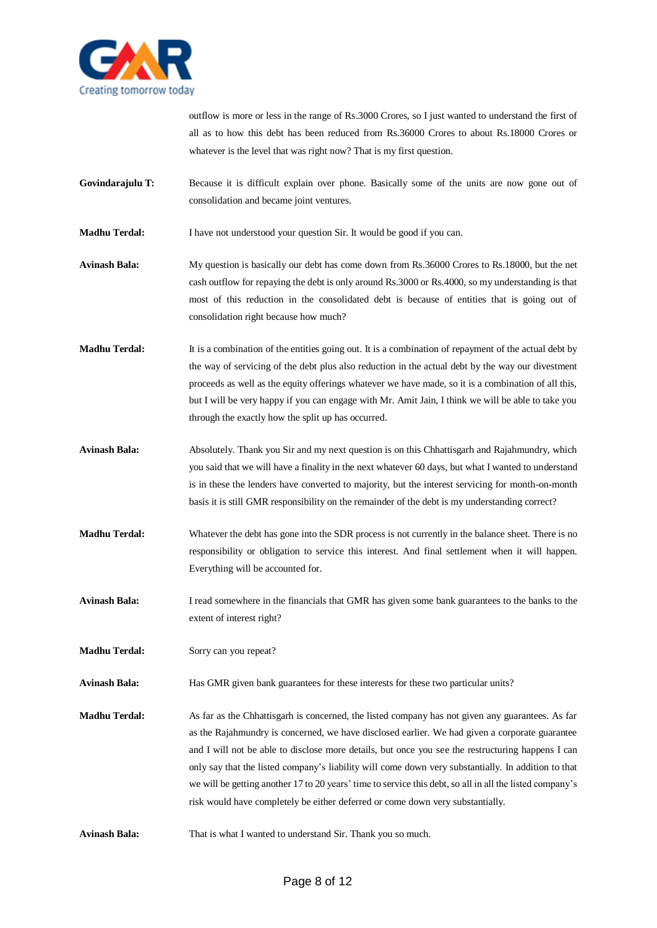

outflow is more or less in the range of Rs.3000 Crores, so I just wanted to understand the first of all as to how this debt has been reduced from Rs.36000 Crores to about Rs.18000 Crores or whatever is the level that was right now? That is my first question.

- **Govindarajulu T:** Because it is difficult explain over phone. Basically some of the units are now gone out of consolidation and became joint ventures.
- **Madhu Terdal:** I have not understood your question Sir. It would be good if you can.

**Avinash Bala:** My question is basically our debt has come down from Rs.36000 Crores to Rs.18000, but the net cash outflow for repaying the debt is only around Rs.3000 or Rs.4000, so my understanding is that most of this reduction in the consolidated debt is because of entities that is going out of consolidation right because how much?

- **Madhu Terdal:** It is a combination of the entities going out. It is a combination of repayment of the actual debt by the way of servicing of the debt plus also reduction in the actual debt by the way our divestment proceeds as well as the equity offerings whatever we have made, so it is a combination of all this, but I will be very happy if you can engage with Mr. Amit Jain, I think we will be able to take you through the exactly how the split up has occurred.
- **Avinash Bala:** Absolutely. Thank you Sir and my next question is on this Chhattisgarh and Rajahmundry, which you said that we will have a finality in the next whatever 60 days, but what I wanted to understand is in these the lenders have converted to majority, but the interest servicing for month-on-month basis it is still GMR responsibility on the remainder of the debt is my understanding correct?
- **Madhu Terdal:** Whatever the debt has gone into the SDR process is not currently in the balance sheet. There is no responsibility or obligation to service this interest. And final settlement when it will happen. Everything will be accounted for.
- **Avinash Bala:** I read somewhere in the financials that GMR has given some bank guarantees to the banks to the extent of interest right?
- **Madhu Terdal:** Sorry can you repeat?
- **Avinash Bala:** Has GMR given bank guarantees for these interests for these two particular units?
- **Madhu Terdal:** As far as the Chhattisgarh is concerned, the listed company has not given any guarantees. As far as the Rajahmundry is concerned, we have disclosed earlier. We had given a corporate guarantee and I will not be able to disclose more details, but once you see the restructuring happens I can only say that the listed company's liability will come down very substantially. In addition to that we will be getting another 17 to 20 years' time to service this debt, so all in all the listed company's risk would have completely be either deferred or come down very substantially.
- **Avinash Bala:** That is what I wanted to understand Sir. Thank you so much.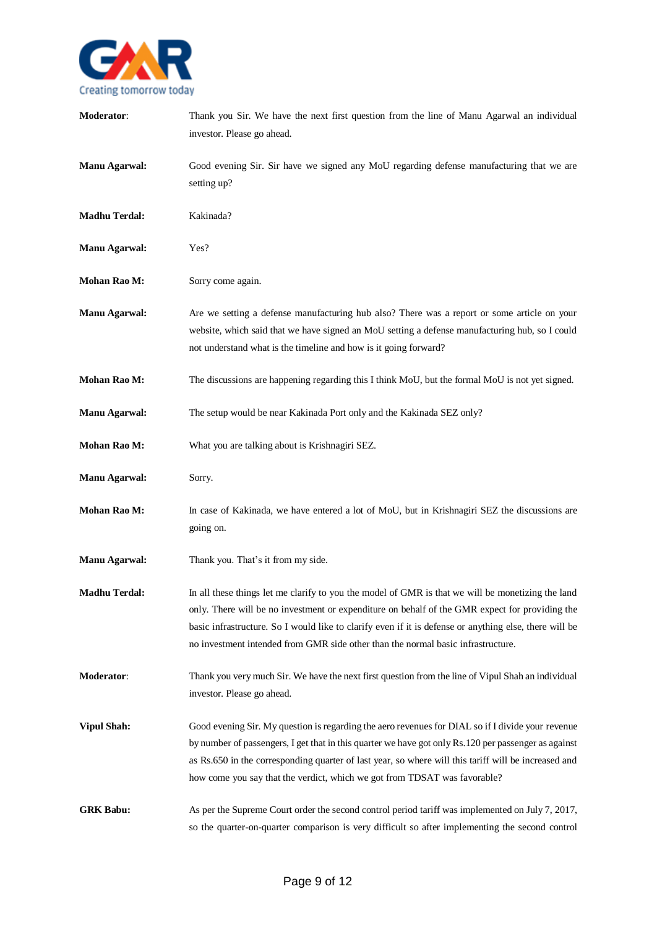

| Moderator:           | Thank you Sir. We have the next first question from the line of Manu Agarwal an individual<br>investor. Please go ahead.                                                                                                                                                                                                                                                                          |
|----------------------|---------------------------------------------------------------------------------------------------------------------------------------------------------------------------------------------------------------------------------------------------------------------------------------------------------------------------------------------------------------------------------------------------|
| <b>Manu Agarwal:</b> | Good evening Sir. Sir have we signed any MoU regarding defense manufacturing that we are<br>setting up?                                                                                                                                                                                                                                                                                           |
| <b>Madhu Terdal:</b> | Kakinada?                                                                                                                                                                                                                                                                                                                                                                                         |
| <b>Manu Agarwal:</b> | Yes?                                                                                                                                                                                                                                                                                                                                                                                              |
| Mohan Rao M:         | Sorry come again.                                                                                                                                                                                                                                                                                                                                                                                 |
| <b>Manu Agarwal:</b> | Are we setting a defense manufacturing hub also? There was a report or some article on your<br>website, which said that we have signed an MoU setting a defense manufacturing hub, so I could<br>not understand what is the timeline and how is it going forward?                                                                                                                                 |
| Mohan Rao M:         | The discussions are happening regarding this I think MoU, but the formal MoU is not yet signed.                                                                                                                                                                                                                                                                                                   |
| <b>Manu Agarwal:</b> | The setup would be near Kakinada Port only and the Kakinada SEZ only?                                                                                                                                                                                                                                                                                                                             |
| Mohan Rao M:         | What you are talking about is Krishnagiri SEZ.                                                                                                                                                                                                                                                                                                                                                    |
| <b>Manu Agarwal:</b> | Sorry.                                                                                                                                                                                                                                                                                                                                                                                            |
| Mohan Rao M:         | In case of Kakinada, we have entered a lot of MoU, but in Krishnagiri SEZ the discussions are<br>going on.                                                                                                                                                                                                                                                                                        |
| <b>Manu Agarwal:</b> | Thank you. That's it from my side.                                                                                                                                                                                                                                                                                                                                                                |
| <b>Madhu Terdal:</b> | In all these things let me clarify to you the model of GMR is that we will be monetizing the land<br>only. There will be no investment or expenditure on behalf of the GMR expect for providing the<br>basic infrastructure. So I would like to clarify even if it is defense or anything else, there will be<br>no investment intended from GMR side other than the normal basic infrastructure. |
| <b>Moderator:</b>    | Thank you very much Sir. We have the next first question from the line of Vipul Shah an individual<br>investor. Please go ahead.                                                                                                                                                                                                                                                                  |
| <b>Vipul Shah:</b>   | Good evening Sir. My question is regarding the aero revenues for DIAL so if I divide your revenue<br>by number of passengers, I get that in this quarter we have got only Rs.120 per passenger as against<br>as Rs.650 in the corresponding quarter of last year, so where will this tariff will be increased and<br>how come you say that the verdict, which we got from TDSAT was favorable?    |
| <b>GRK Babu:</b>     | As per the Supreme Court order the second control period tariff was implemented on July 7, 2017,<br>so the quarter-on-quarter comparison is very difficult so after implementing the second control                                                                                                                                                                                               |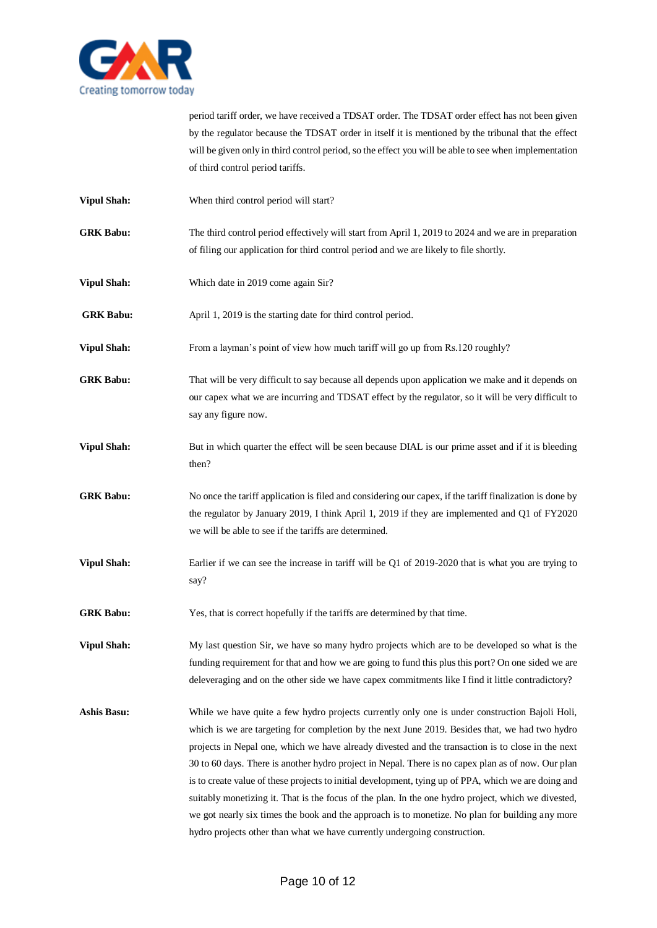

period tariff order, we have received a TDSAT order. The TDSAT order effect has not been given by the regulator because the TDSAT order in itself it is mentioned by the tribunal that the effect will be given only in third control period, so the effect you will be able to see when implementation of third control period tariffs.

- **Vipul Shah:** When third control period will start?
- **GRK Babu:** The third control period effectively will start from April 1, 2019 to 2024 and we are in preparation of filing our application for third control period and we are likely to file shortly.
- **Vipul Shah:** Which date in 2019 come again Sir?

**GRK Babu:** April 1, 2019 is the starting date for third control period.

- **Vipul Shah:** From a layman's point of view how much tariff will go up from Rs.120 roughly?
- **GRK Babu:** That will be very difficult to say because all depends upon application we make and it depends on our capex what we are incurring and TDSAT effect by the regulator, so it will be very difficult to say any figure now.
- **Vipul Shah:** But in which quarter the effect will be seen because DIAL is our prime asset and if it is bleeding then?
- **GRK Babu:** No once the tariff application is filed and considering our capex, if the tariff finalization is done by the regulator by January 2019, I think April 1, 2019 if they are implemented and Q1 of FY2020 we will be able to see if the tariffs are determined.
- **Vipul Shah:** Earlier if we can see the increase in tariff will be Q1 of 2019-2020 that is what you are trying to say?
- **GRK Babu:** Yes, that is correct hopefully if the tariffs are determined by that time.

**Vipul Shah:** My last question Sir, we have so many hydro projects which are to be developed so what is the funding requirement for that and how we are going to fund this plus this port? On one sided we are deleveraging and on the other side we have capex commitments like I find it little contradictory?

**Ashis Basu:** While we have quite a few hydro projects currently only one is under construction Bajoli Holi, which is we are targeting for completion by the next June 2019. Besides that, we had two hydro projects in Nepal one, which we have already divested and the transaction is to close in the next 30 to 60 days. There is another hydro project in Nepal. There is no capex plan as of now. Our plan is to create value of these projects to initial development, tying up of PPA, which we are doing and suitably monetizing it. That is the focus of the plan. In the one hydro project, which we divested, we got nearly six times the book and the approach is to monetize. No plan for building any more hydro projects other than what we have currently undergoing construction.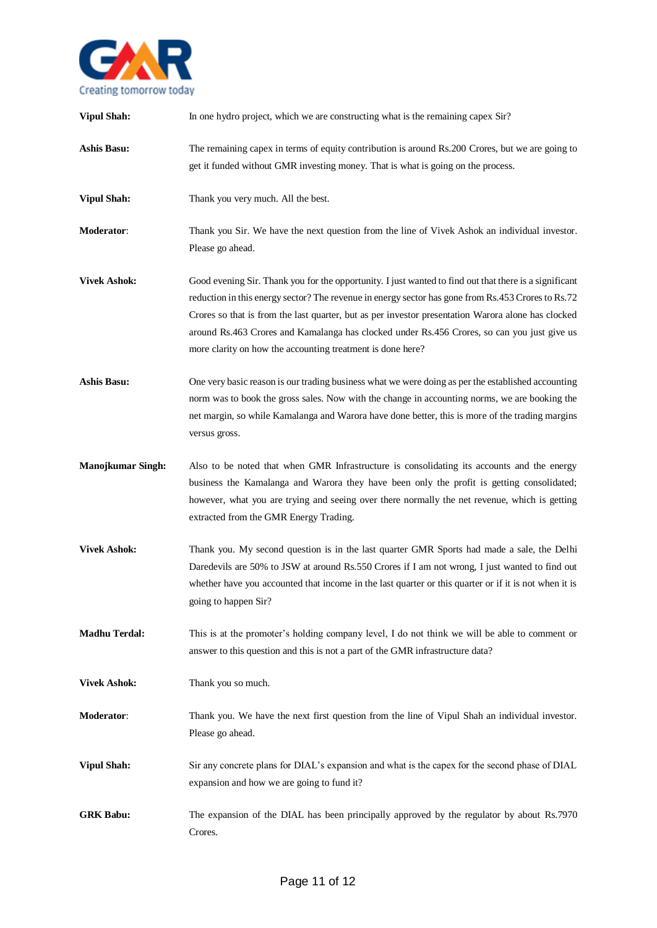

| <b>Vipul Shah:</b>       | In one hydro project, which we are constructing what is the remaining capex Sir?                                                                                                                                                                                                                                                                                                                                                                                                |
|--------------------------|---------------------------------------------------------------------------------------------------------------------------------------------------------------------------------------------------------------------------------------------------------------------------------------------------------------------------------------------------------------------------------------------------------------------------------------------------------------------------------|
| <b>Ashis Basu:</b>       | The remaining capex in terms of equity contribution is around Rs.200 Crores, but we are going to<br>get it funded without GMR investing money. That is what is going on the process.                                                                                                                                                                                                                                                                                            |
| <b>Vipul Shah:</b>       | Thank you very much. All the best.                                                                                                                                                                                                                                                                                                                                                                                                                                              |
| <b>Moderator:</b>        | Thank you Sir. We have the next question from the line of Vivek Ashok an individual investor.<br>Please go ahead.                                                                                                                                                                                                                                                                                                                                                               |
| <b>Vivek Ashok:</b>      | Good evening Sir. Thank you for the opportunity. I just wanted to find out that there is a significant<br>reduction in this energy sector? The revenue in energy sector has gone from Rs.453 Crores to Rs.72<br>Crores so that is from the last quarter, but as per investor presentation Warora alone has clocked<br>around Rs.463 Crores and Kamalanga has clocked under Rs.456 Crores, so can you just give us<br>more clarity on how the accounting treatment is done here? |
| <b>Ashis Basu:</b>       | One very basic reason is our trading business what we were doing as per the established accounting<br>norm was to book the gross sales. Now with the change in accounting norms, we are booking the<br>net margin, so while Kamalanga and Warora have done better, this is more of the trading margins<br>versus gross.                                                                                                                                                         |
| <b>Manojkumar Singh:</b> | Also to be noted that when GMR Infrastructure is consolidating its accounts and the energy<br>business the Kamalanga and Warora they have been only the profit is getting consolidated;<br>however, what you are trying and seeing over there normally the net revenue, which is getting<br>extracted from the GMR Energy Trading.                                                                                                                                              |
| <b>Vivek Ashok:</b>      | Thank you. My second question is in the last quarter GMR Sports had made a sale, the Delhi<br>Daredevils are 50% to JSW at around Rs.550 Crores if I am not wrong, I just wanted to find out<br>whether have you accounted that income in the last quarter or this quarter or if it is not when it is<br>going to happen Sir?                                                                                                                                                   |
| <b>Madhu Terdal:</b>     | This is at the promoter's holding company level, I do not think we will be able to comment or<br>answer to this question and this is not a part of the GMR infrastructure data?                                                                                                                                                                                                                                                                                                 |
| <b>Vivek Ashok:</b>      | Thank you so much.                                                                                                                                                                                                                                                                                                                                                                                                                                                              |
| Moderator:               | Thank you. We have the next first question from the line of Vipul Shah an individual investor.<br>Please go ahead.                                                                                                                                                                                                                                                                                                                                                              |
| <b>Vipul Shah:</b>       | Sir any concrete plans for DIAL's expansion and what is the capex for the second phase of DIAL<br>expansion and how we are going to fund it?                                                                                                                                                                                                                                                                                                                                    |
| <b>GRK Babu:</b>         | The expansion of the DIAL has been principally approved by the regulator by about Rs.7970<br>Crores.                                                                                                                                                                                                                                                                                                                                                                            |